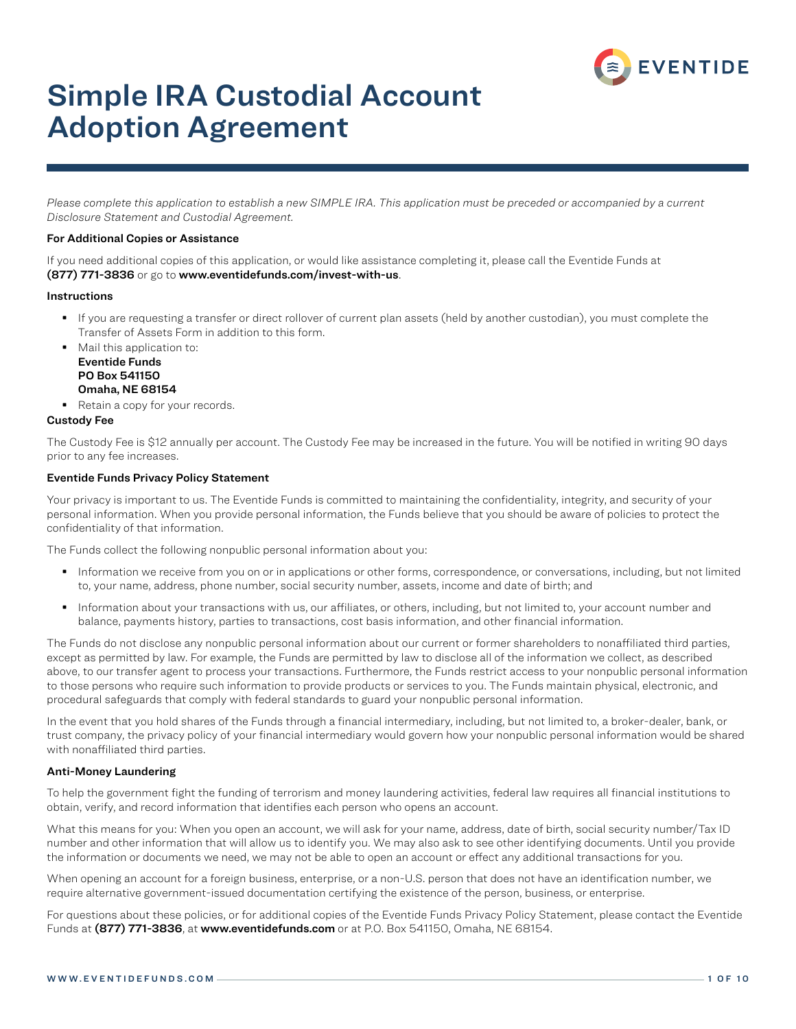

## Simple IRA Custodial Account Adoption Agreement

*Please complete this application to establish a new SIMPLE IRA. This application must be preceded or accompanied by a current Disclosure Statement and Custodial Agreement.*

#### For Additional Copies or Assistance

If you need additional copies of this application, or would like assistance completing it, please call the Eventide Funds at (877) 771-3836 or go to www.eventidefunds.com/invest-with-us.

#### Instructions

- If you are requesting a transfer or direct rollover of current plan assets (held by another custodian), you must complete the Transfer of Assets Form in addition to this form.
- Mail this application to: Eventide Funds PO Box 541150 Omaha, NE 68154
- Retain a copy for your records.

#### Custody Fee

The Custody Fee is \$12 annually per account. The Custody Fee may be increased in the future. You will be notified in writing 90 days prior to any fee increases.

#### Eventide Funds Privacy Policy Statement

Your privacy is important to us. The Eventide Funds is committed to maintaining the confidentiality, integrity, and security of your personal information. When you provide personal information, the Funds believe that you should be aware of policies to protect the confidentiality of that information.

The Funds collect the following nonpublic personal information about you:

- Information we receive from you on or in applications or other forms, correspondence, or conversations, including, but not limited to, your name, address, phone number, social security number, assets, income and date of birth; and
- Information about your transactions with us, our affiliates, or others, including, but not limited to, your account number and balance, payments history, parties to transactions, cost basis information, and other financial information.

The Funds do not disclose any nonpublic personal information about our current or former shareholders to nonaffiliated third parties, except as permitted by law. For example, the Funds are permitted by law to disclose all of the information we collect, as described above, to our transfer agent to process your transactions. Furthermore, the Funds restrict access to your nonpublic personal information to those persons who require such information to provide products or services to you. The Funds maintain physical, electronic, and procedural safeguards that comply with federal standards to guard your nonpublic personal information.

In the event that you hold shares of the Funds through a financial intermediary, including, but not limited to, a broker-dealer, bank, or trust company, the privacy policy of your financial intermediary would govern how your nonpublic personal information would be shared with nonaffiliated third parties.

#### Anti-Money Laundering

To help the government fight the funding of terrorism and money laundering activities, federal law requires all financial institutions to obtain, verify, and record information that identifies each person who opens an account.

What this means for you: When you open an account, we will ask for your name, address, date of birth, social security number/Tax ID number and other information that will allow us to identify you. We may also ask to see other identifying documents. Until you provide the information or documents we need, we may not be able to open an account or effect any additional transactions for you.

When opening an account for a foreign business, enterprise, or a non-U.S. person that does not have an identification number, we require alternative government-issued documentation certifying the existence of the person, business, or enterprise.

For questions about these policies, or for additional copies of the Eventide Funds Privacy Policy Statement, please contact the Eventide Funds at (877) 771-3836, at www.eventidefunds.com or at P.O. Box 541150, Omaha, NE 68154.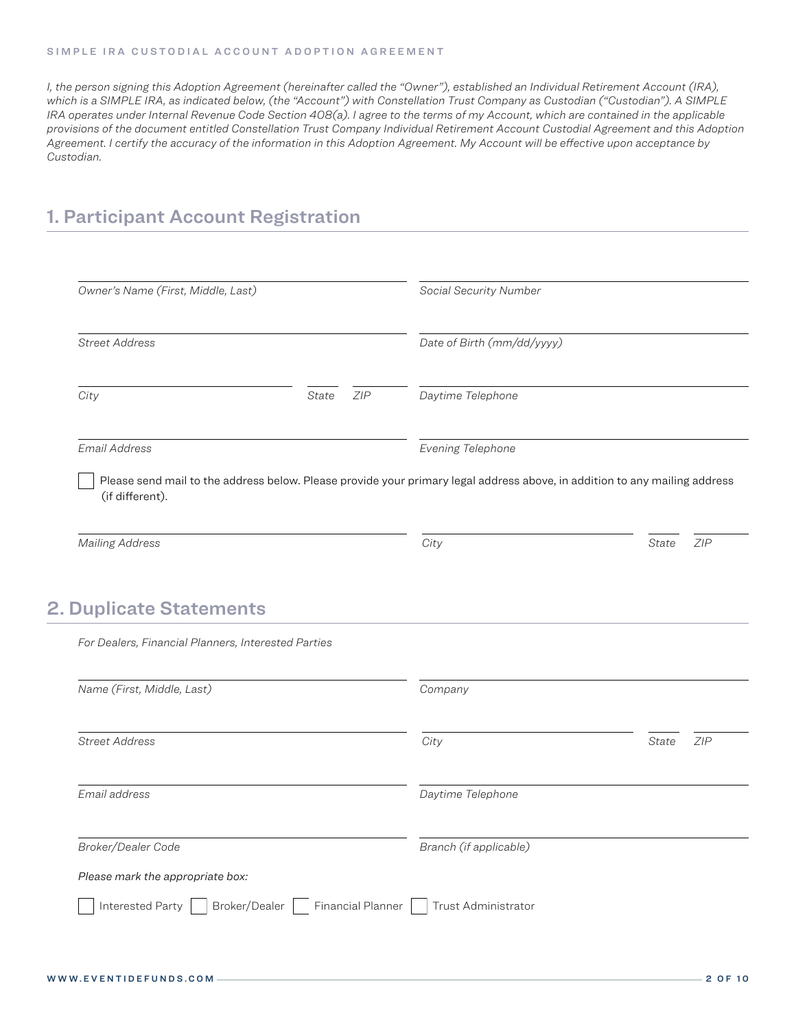*I, the person signing this Adoption Agreement (hereinafter called the "Owner"), established an Individual Retirement Account (IRA), which is a SIMPLE IRA, as indicated below, (the "Account") with Constellation Trust Company as Custodian ("Custodian"). A SIMPLE IRA operates under Internal Revenue Code Section 408(a). I agree to the terms of my Account, which are contained in the applicable provisions of the document entitled Constellation Trust Company Individual Retirement Account Custodial Agreement and this Adoption Agreement. I certify the accuracy of the information in this Adoption Agreement. My Account will be effective upon acceptance by Custodian.*

### 1. Participant Account Registration

| Owner's Name (First, Middle, Last)                                                    |              | Social Security Number                                                                                                     |              |     |  |
|---------------------------------------------------------------------------------------|--------------|----------------------------------------------------------------------------------------------------------------------------|--------------|-----|--|
| <b>Street Address</b>                                                                 |              | Date of Birth (mm/dd/yyyy)                                                                                                 |              |     |  |
| City                                                                                  | State<br>ZIP | Daytime Telephone                                                                                                          |              |     |  |
| Email Address                                                                         |              | Evening Telephone                                                                                                          |              |     |  |
| (if different).                                                                       |              | Please send mail to the address below. Please provide your primary legal address above, in addition to any mailing address |              |     |  |
|                                                                                       |              |                                                                                                                            |              |     |  |
| <b>Mailing Address</b>                                                                |              | City                                                                                                                       | <b>State</b> | ZIP |  |
| <b>2. Duplicate Statements</b><br>For Dealers, Financial Planners, Interested Parties |              |                                                                                                                            |              |     |  |
|                                                                                       |              | Company                                                                                                                    |              |     |  |
|                                                                                       |              | City                                                                                                                       | State        | ZIP |  |
| Name (First, Middle, Last)<br><b>Street Address</b><br>Email address                  |              | Daytime Telephone                                                                                                          |              |     |  |
| Broker/Dealer Code                                                                    |              | Branch (if applicable)                                                                                                     |              |     |  |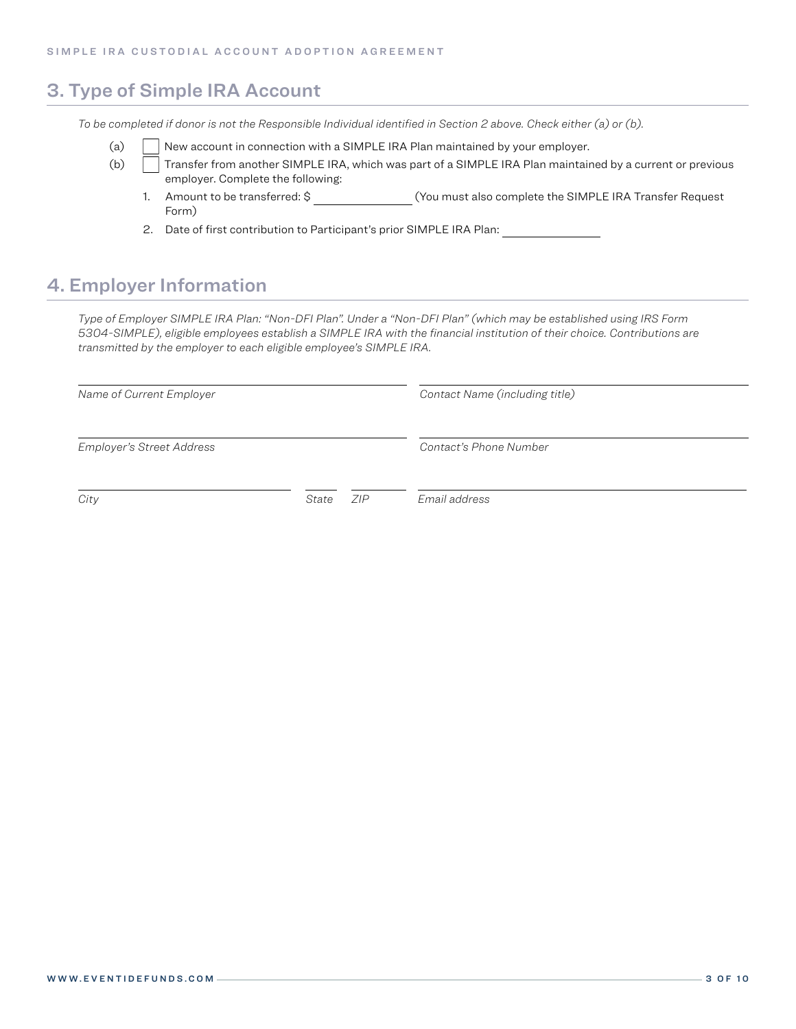### 3. Type of Simple IRA Account

*To be completed if donor is not the Responsible Individual identified in Section 2 above. Check either (a) or (b).*

- (a) New account in connection with a SIMPLE IRA Plan maintained by your employer.
- (b) Transfer from another SIMPLE IRA, which was part of a SIMPLE IRA Plan maintained by a current or previous employer. Complete the following:
	- 1. Amount to be transferred: \$ (You must also complete the SIMPLE IRA Transfer Request Form)
	- 2. Date of first contribution to Participant's prior SIMPLE IRA Plan:

### 4. Employer Information

*Type of Employer SIMPLE IRA Plan: "Non-DFI Plan". Under a "Non-DFI Plan" (which may be established using IRS Form 5304-SIMPLE), eligible employees establish a SIMPLE IRA with the financial institution of their choice. Contributions are transmitted by the employer to each eligible employee's SIMPLE IRA.*

| Name of Current Employer         |       |     | Contact Name (including title) |  |  |
|----------------------------------|-------|-----|--------------------------------|--|--|
| <b>Employer's Street Address</b> |       |     | Contact's Phone Number         |  |  |
| City                             | State | ZIP | Email address                  |  |  |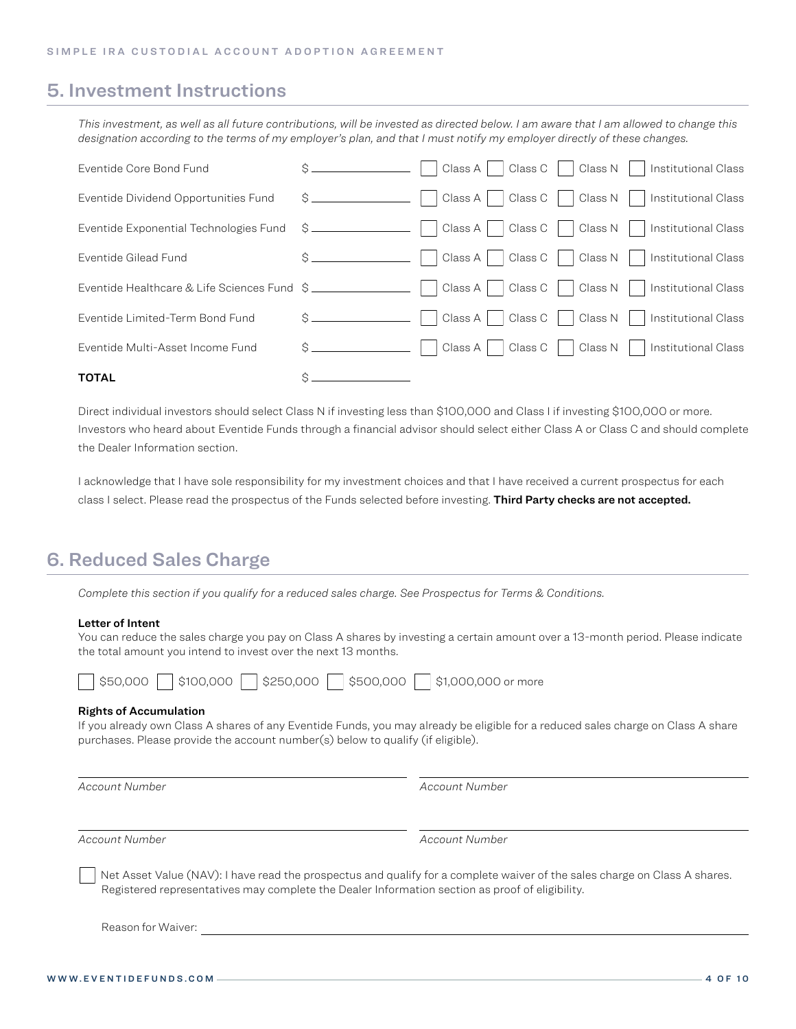### 5. Investment Instructions

*This investment, as well as all future contributions, will be invested as directed below. I am aware that I am allowed to change this designation according to the terms of my employer's plan, and that I must notify my employer directly of these changes.*

| <b>TOTAL</b>                                |                   |                                                               |
|---------------------------------------------|-------------------|---------------------------------------------------------------|
| Eventide Multi-Asset Income Fund            | Ŝ.                | Class C<br>Class N<br>Class A<br><b>Institutional Class</b>   |
| Eventide Limited-Term Bond Fund             | $\frac{1}{2}$     | Class C<br>Class N<br>Class A<br><b>Institutional Class</b>   |
| Eventide Healthcare & Life Sciences Fund \$ |                   | Class C<br>Class N     Institutional Class<br>Class A         |
| Eventide Gilead Fund                        |                   | Class C<br>  Class N<br>Class A<br>  Institutional Class      |
| Eventide Exponential Technologies Fund      |                   | Class C<br>Class N  <br>Class A<br>Institutional Class        |
| Eventide Dividend Opportunities Fund        |                   | Class C<br>Class N  <br><b>Institutional Class</b><br>Class A |
| Eventide Core Bond Fund                     | $\mathcal{S}$ $-$ | Class C<br>Class N<br>Class $A$<br>Institutional Class        |

Direct individual investors should select Class N if investing less than \$100,000 and Class I if investing \$100,000 or more. Investors who heard about Eventide Funds through a financial advisor should select either Class A or Class C and should complete the Dealer Information section.

I acknowledge that I have sole responsibility for my investment choices and that I have received a current prospectus for each class I select. Please read the prospectus of the Funds selected before investing. Third Party checks are not accepted.

### 6. Reduced Sales Charge

*Complete this section if you qualify for a reduced sales charge. See Prospectus for Terms & Conditions.*

#### Letter of Intent

You can reduce the sales charge you pay on Class A shares by investing a certain amount over a 13-month period. Please indicate the total amount you intend to invest over the next 13 months.

|  | \$50,000 |  |  |  | \$100,000 \$250,000 |  | \$500,000 |  | $\frac{1}{1}$ \$1,000,000 or more |  |
|--|----------|--|--|--|---------------------|--|-----------|--|-----------------------------------|--|
|--|----------|--|--|--|---------------------|--|-----------|--|-----------------------------------|--|

#### Rights of Accumulation

If you already own Class A shares of any Eventide Funds, you may already be eligible for a reduced sales charge on Class A share purchases. Please provide the account number(s) below to qualify (if eligible).

*Account Number Account Number*

*Account Number Account Number*

Net Asset Value (NAV): I have read the prospectus and qualify for a complete waiver of the sales charge on Class A shares. Registered representatives may complete the Dealer Information section as proof of eligibility.

Reason for Waiver: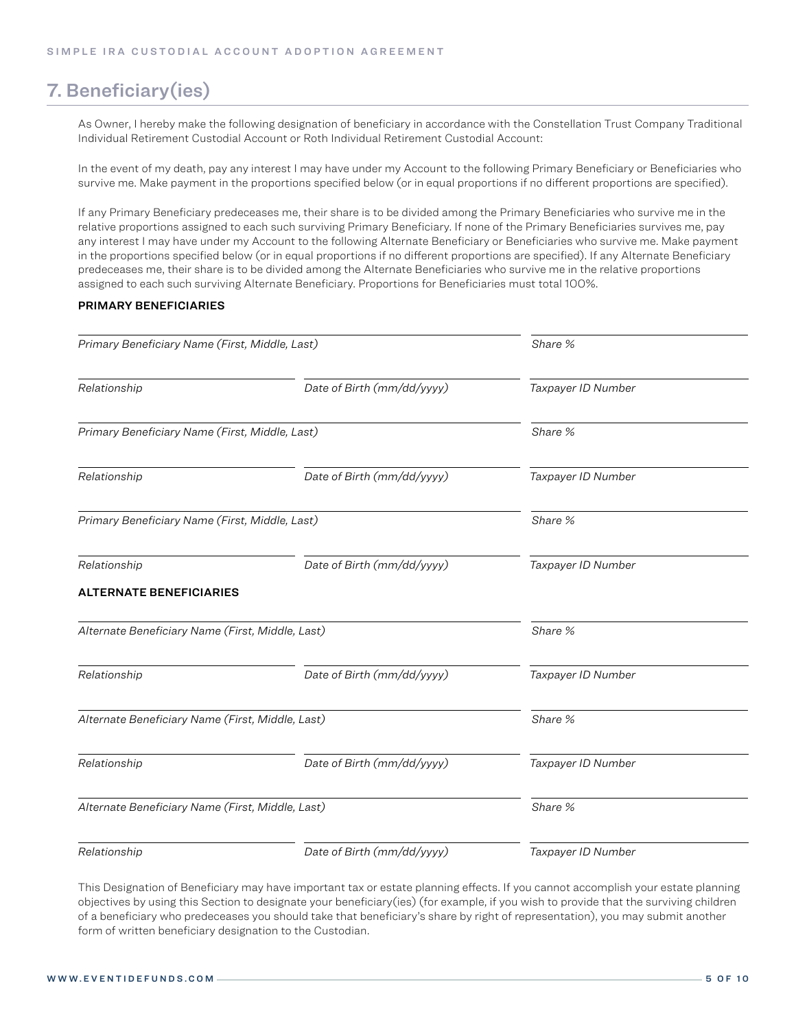### 7. Beneficiary(ies)

As Owner, I hereby make the following designation of beneficiary in accordance with the Constellation Trust Company Traditional Individual Retirement Custodial Account or Roth Individual Retirement Custodial Account:

In the event of my death, pay any interest I may have under my Account to the following Primary Beneficiary or Beneficiaries who survive me. Make payment in the proportions specified below (or in equal proportions if no different proportions are specified).

If any Primary Beneficiary predeceases me, their share is to be divided among the Primary Beneficiaries who survive me in the relative proportions assigned to each such surviving Primary Beneficiary. If none of the Primary Beneficiaries survives me, pay any interest I may have under my Account to the following Alternate Beneficiary or Beneficiaries who survive me. Make payment in the proportions specified below (or in equal proportions if no different proportions are specified). If any Alternate Beneficiary predeceases me, their share is to be divided among the Alternate Beneficiaries who survive me in the relative proportions assigned to each such surviving Alternate Beneficiary. Proportions for Beneficiaries must total 100%.

#### PRIMARY BENEFICIARIES

| Primary Beneficiary Name (First, Middle, Last)   |                            | Share %            |  |  |
|--------------------------------------------------|----------------------------|--------------------|--|--|
| Relationship                                     | Date of Birth (mm/dd/yyyy) | Taxpayer ID Number |  |  |
| Primary Beneficiary Name (First, Middle, Last)   |                            | Share %            |  |  |
| Relationship                                     | Date of Birth (mm/dd/yyyy) | Taxpayer ID Number |  |  |
| Primary Beneficiary Name (First, Middle, Last)   |                            | Share %            |  |  |
| Relationship                                     | Date of Birth (mm/dd/yyyy) | Taxpayer ID Number |  |  |
| <b>ALTERNATE BENEFICIARIES</b>                   |                            |                    |  |  |
| Alternate Beneficiary Name (First, Middle, Last) |                            | Share %            |  |  |
| Date of Birth (mm/dd/yyyy)<br>Relationship       |                            | Taxpayer ID Number |  |  |
| Alternate Beneficiary Name (First, Middle, Last) |                            | Share %            |  |  |
| Relationship                                     | Date of Birth (mm/dd/yyyy) | Taxpayer ID Number |  |  |
| Alternate Beneficiary Name (First, Middle, Last) |                            | Share %            |  |  |
| Relationship                                     | Date of Birth (mm/dd/yyyy) | Taxpayer ID Number |  |  |

This Designation of Beneficiary may have important tax or estate planning effects. If you cannot accomplish your estate planning objectives by using this Section to designate your beneficiary(ies) (for example, if you wish to provide that the surviving children of a beneficiary who predeceases you should take that beneficiary's share by right of representation), you may submit another form of written beneficiary designation to the Custodian.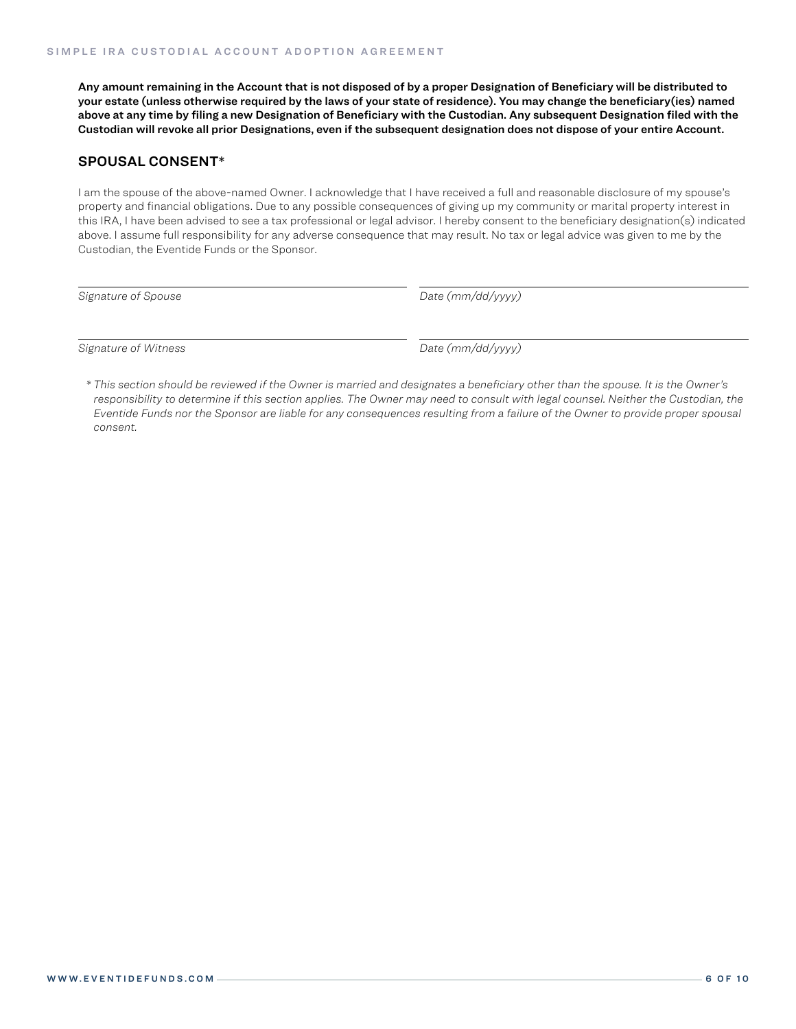Any amount remaining in the Account that is not disposed of by a proper Designation of Beneficiary will be distributed to your estate (unless otherwise required by the laws of your state of residence). You may change the beneficiary(ies) named above at any time by filing a new Designation of Beneficiary with the Custodian. Any subsequent Designation filed with the Custodian will revoke all prior Designations, even if the subsequent designation does not dispose of your entire Account.

#### SPOUSAL CONSENT\*

I am the spouse of the above-named Owner. I acknowledge that I have received a full and reasonable disclosure of my spouse's property and financial obligations. Due to any possible consequences of giving up my community or marital property interest in this IRA, I have been advised to see a tax professional or legal advisor. I hereby consent to the beneficiary designation(s) indicated above. I assume full responsibility for any adverse consequence that may result. No tax or legal advice was given to me by the Custodian, the Eventide Funds or the Sponsor.

*Signature of Spouse Date (mm/dd/yyyy)*

*Signature of Witness Date (mm/dd/yyyy)*

*\* This section should be reviewed if the Owner is married and designates a beneficiary other than the spouse. It is the Owner's*  responsibility to determine if this section applies. The Owner may need to consult with legal counsel. Neither the Custodian, the *Eventide Funds nor the Sponsor are liable for any consequences resulting from a failure of the Owner to provide proper spousal consent.*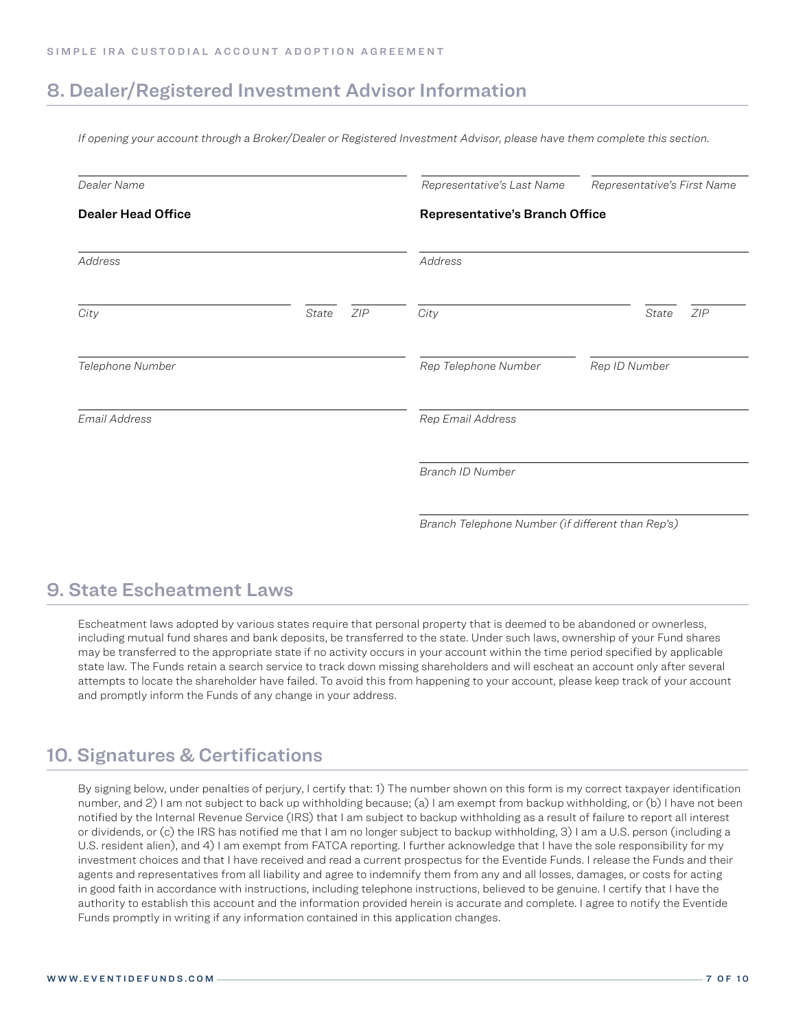### 8. Dealer/Registered Investment Advisor Information

*If opening your account through a Broker/Dealer or Registered Investment Advisor, please have them complete this section.*

| Dealer Name               |       |     | Representative's Last Name                        | Representative's First Name |  |  |
|---------------------------|-------|-----|---------------------------------------------------|-----------------------------|--|--|
| <b>Dealer Head Office</b> |       |     | <b>Representative's Branch Office</b>             |                             |  |  |
| Address                   |       |     | Address                                           |                             |  |  |
| City                      | State | ZIP | City                                              | ZIP<br>State                |  |  |
| Telephone Number          |       |     | Rep Telephone Number                              | Rep ID Number               |  |  |
| Email Address             |       |     | Rep Email Address                                 |                             |  |  |
|                           |       |     | Branch ID Number                                  |                             |  |  |
|                           |       |     | Branch Telephone Number (if different than Rep's) |                             |  |  |

### 9. State Escheatment Laws

Escheatment laws adopted by various states require that personal property that is deemed to be abandoned or ownerless, including mutual fund shares and bank deposits, be transferred to the state. Under such laws, ownership of your Fund shares may be transferred to the appropriate state if no activity occurs in your account within the time period specified by applicable state law. The Funds retain a search service to track down missing shareholders and will escheat an account only after several attempts to locate the shareholder have failed. To avoid this from happening to your account, please keep track of your account and promptly inform the Funds of any change in your address.

### 10. Signatures & Certifications

By signing below, under penalties of perjury, I certify that: 1) The number shown on this form is my correct taxpayer identification number, and 2) I am not subject to back up withholding because; (a) I am exempt from backup withholding, or (b) I have not been notified by the Internal Revenue Service (IRS) that I am subject to backup withholding as a result of failure to report all interest or dividends, or (c) the IRS has notified me that I am no longer subject to backup withholding, 3) I am a U.S. person (including a U.S. resident alien), and 4) I am exempt from FATCA reporting. I further acknowledge that I have the sole responsibility for my investment choices and that I have received and read a current prospectus for the Eventide Funds. I release the Funds and their agents and representatives from all liability and agree to indemnify them from any and all losses, damages, or costs for acting in good faith in accordance with instructions, including telephone instructions, believed to be genuine. I certify that I have the authority to establish this account and the information provided herein is accurate and complete. I agree to notify the Eventide Funds promptly in writing if any information contained in this application changes.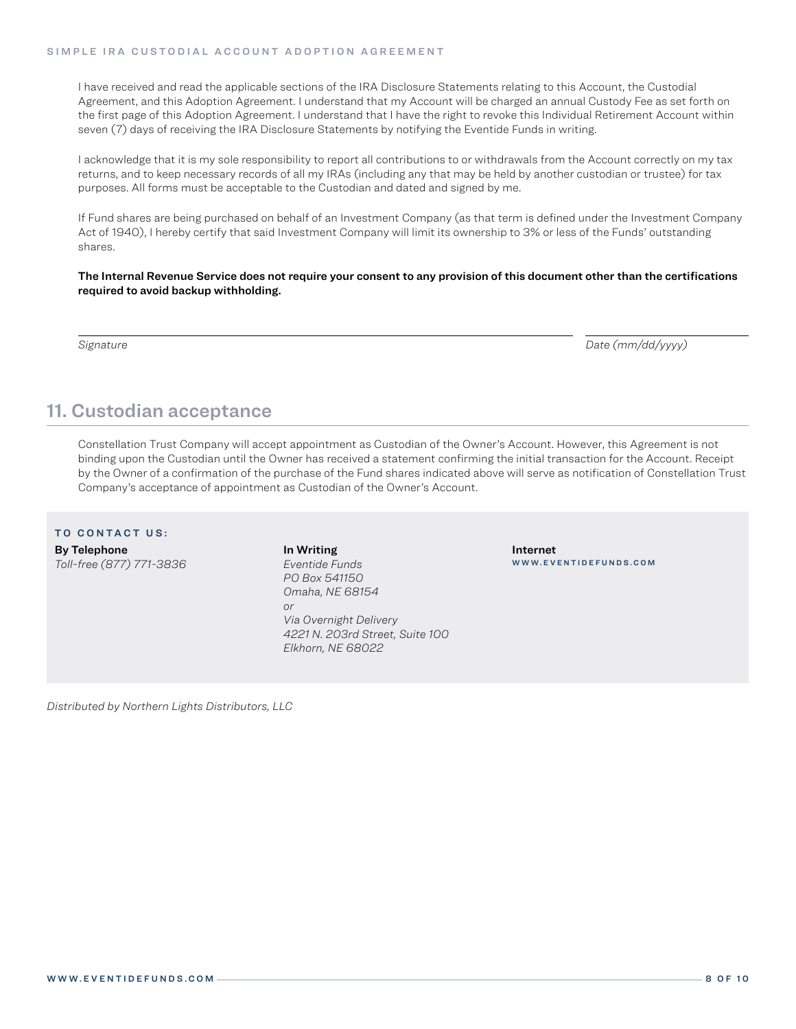I have received and read the applicable sections of the IRA Disclosure Statements relating to this Account, the Custodial Agreement, and this Adoption Agreement. I understand that my Account will be charged an annual Custody Fee as set forth on the first page of this Adoption Agreement. I understand that I have the right to revoke this Individual Retirement Account within seven (7) days of receiving the IRA Disclosure Statements by notifying the Eventide Funds in writing.

I acknowledge that it is my sole responsibility to report all contributions to or withdrawals from the Account correctly on my tax returns, and to keep necessary records of all my IRAs (including any that may be held by another custodian or trustee) for tax purposes. All forms must be acceptable to the Custodian and dated and signed by me.

If Fund shares are being purchased on behalf of an Investment Company (as that term is defined under the Investment Company Act of 1940), I hereby certify that said Investment Company will limit its ownership to 3% or less of the Funds' outstanding shares.

The Internal Revenue Service does not require your consent to any provision of this document other than the certifications required to avoid backup withholding.

*Signature Date (mm/dd/yyyy)*

### 11. Custodian acceptance

Constellation Trust Company will accept appointment as Custodian of the Owner's Account. However, this Agreement is not binding upon the Custodian until the Owner has received a statement confirming the initial transaction for the Account. Receipt by the Owner of a confirmation of the purchase of the Fund shares indicated above will serve as notification of Constellation Trust Company's acceptance of appointment as Custodian of the Owner's Account.

#### TO CONTACT US:

By Telephone *Toll-free (877) 771-3836* In Writing *Eventide Funds PO Box 541150 Omaha, NE 68154 or Via Overnight Delivery 4221 N. 203rd Street, Suite 100 Elkhorn, NE 68022*

Internet WWW.EVENTIDEFUNDS.COM

*Distributed by Northern Lights Distributors, LLC*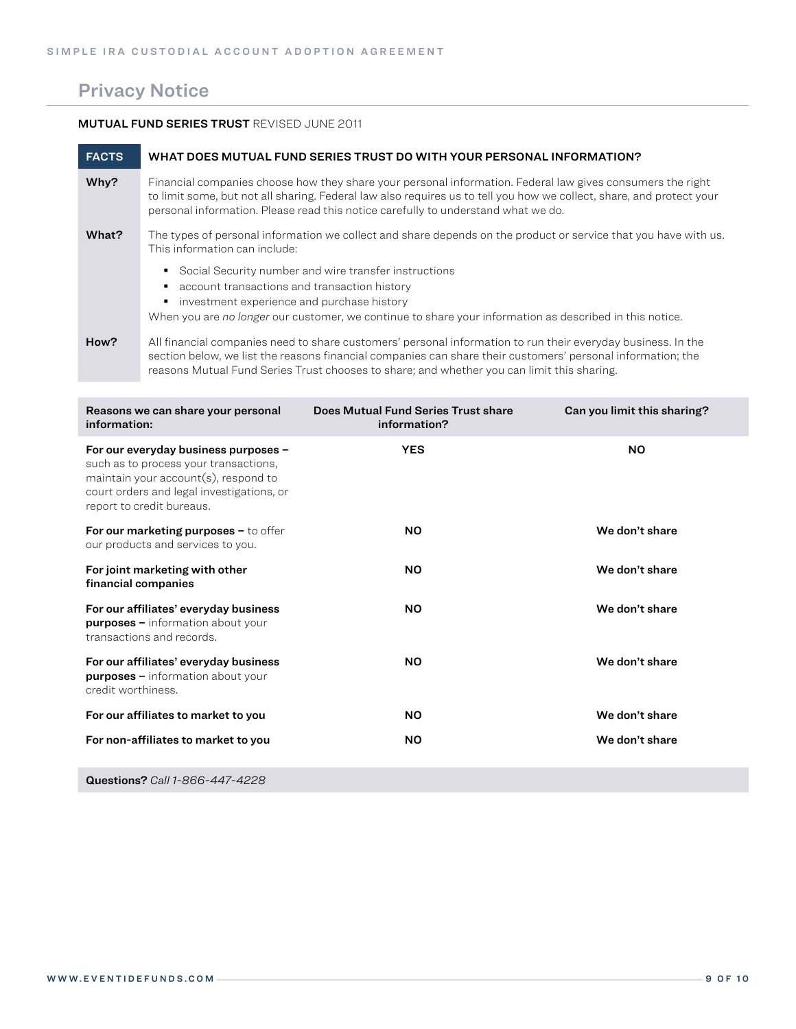### Privacy Notice

#### MUTUAL FUND SERIES TRUST REVISED JUNE 2011

| <b>FACTS</b> | WHAT DOES MUTUAL FUND SERIES TRUST DO WITH YOUR PERSONAL INFORMATION?                                                                                                                                                                                                                                                   |
|--------------|-------------------------------------------------------------------------------------------------------------------------------------------------------------------------------------------------------------------------------------------------------------------------------------------------------------------------|
| Why?         | Financial companies choose how they share your personal information. Federal law gives consumers the right<br>to limit some, but not all sharing. Federal law also requires us to tell you how we collect, share, and protect your<br>personal information. Please read this notice carefully to understand what we do. |
| What?        | The types of personal information we collect and share depends on the product or service that you have with us.<br>This information can include:                                                                                                                                                                        |
|              | Social Security number and wire transfer instructions<br>٠<br>account transactions and transaction history<br>investment experience and purchase history<br>٠<br>When you are no longer our customer, we continue to share your information as described in this notice.                                                |
| How?         | All financial companies need to share customers' personal information to run their everyday business. In the<br>section below, we list the reasons financial companies can share their customers' personal information; the                                                                                             |

reasons Mutual Fund Series Trust chooses to share; and whether you can limit this sharing.

| Reasons we can share your personal<br>information:                                                                                                                                              | Does Mutual Fund Series Trust share<br>information? | Can you limit this sharing? |
|-------------------------------------------------------------------------------------------------------------------------------------------------------------------------------------------------|-----------------------------------------------------|-----------------------------|
| For our everyday business purposes -<br>such as to process your transactions,<br>maintain your account(s), respond to<br>court orders and legal investigations, or<br>report to credit bureaus. | <b>YES</b>                                          | <b>NO</b>                   |
| For our marketing purposes $-$ to offer<br>our products and services to you.                                                                                                                    | NO.                                                 | We don't share              |
| For joint marketing with other<br>financial companies                                                                                                                                           | NO.                                                 | We don't share              |
| For our affiliates' everyday business<br><b>purposes -</b> information about your<br>transactions and records.                                                                                  | <b>NO</b>                                           | We don't share              |
| For our affiliates' everyday business<br><b>purposes</b> - information about your<br>credit worthiness.                                                                                         | <b>NO</b>                                           | We don't share              |
| For our affiliates to market to you                                                                                                                                                             | <b>NO</b>                                           | We don't share              |
| For non-affiliates to market to you                                                                                                                                                             | <b>NO</b>                                           | We don't share              |
|                                                                                                                                                                                                 |                                                     |                             |

Questions? *Call 1-866-447-4228*